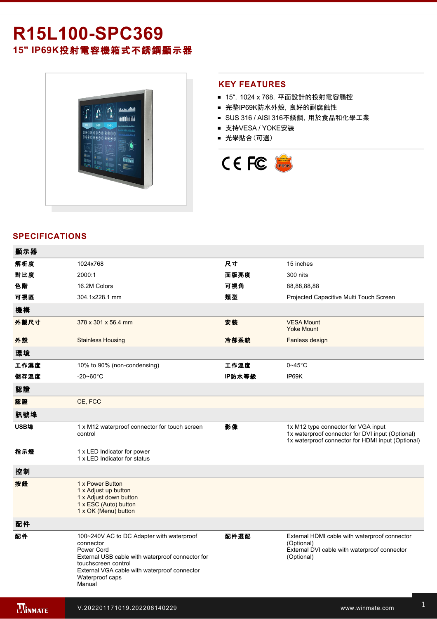# **R15L100SPC369 15" IP69K**投射電容機箱式不銹鋼顯示器



### **KEY FEATURES**

- 15", 1024 x 768, 平面設計的投射電容觸控
- 完整IP69K防水外殼, 良好的耐腐蝕性
- SUS 316 / AISI 316不銹鋼, 用於食品和化學工業
- 支持VESA / YOKE安裝
- 光學貼合(可選)



## **SPECIFICATIONS**

電源規格 12V DC (M12 type)

| 顯示器            |                                                                                                                                                                                                                              |        |                                                                                                                                              |
|----------------|------------------------------------------------------------------------------------------------------------------------------------------------------------------------------------------------------------------------------|--------|----------------------------------------------------------------------------------------------------------------------------------------------|
| 解析度            | 1024x768                                                                                                                                                                                                                     | 尺寸     | 15 inches                                                                                                                                    |
| 對比度            | 2000:1                                                                                                                                                                                                                       | 面版亮度   | 300 nits                                                                                                                                     |
| 色階             | 16.2M Colors                                                                                                                                                                                                                 | 可視角    | 88,88,88,88                                                                                                                                  |
| 可視區            | 304.1x228.1 mm                                                                                                                                                                                                               | 類型     | Projected Capacitive Multi Touch Screen                                                                                                      |
| 機構             |                                                                                                                                                                                                                              |        |                                                                                                                                              |
| 外觀尺寸           | 378 x 301 x 56.4 mm                                                                                                                                                                                                          | 安装     | <b>VESA Mount</b><br><b>Yoke Mount</b>                                                                                                       |
| 外殼             | <b>Stainless Housing</b>                                                                                                                                                                                                     | 冷卻系統   | Fanless design                                                                                                                               |
| 環境             |                                                                                                                                                                                                                              |        |                                                                                                                                              |
| 工作濕度           | 10% to 90% (non-condensing)                                                                                                                                                                                                  | 工作溫度   | $0 - 45$ °C                                                                                                                                  |
| 儲存溫度           | $-20 - 60^{\circ}$ C                                                                                                                                                                                                         | IP防水等級 | IP69K                                                                                                                                        |
| 認證             |                                                                                                                                                                                                                              |        |                                                                                                                                              |
| 認證             | CE, FCC                                                                                                                                                                                                                      |        |                                                                                                                                              |
| 訊號埠            |                                                                                                                                                                                                                              |        |                                                                                                                                              |
| USB埠           | 1 x M12 waterproof connector for touch screen<br>control                                                                                                                                                                     | 影像     | 1x M12 type connector for VGA input<br>1x waterproof connector for DVI input (Optional)<br>1x waterproof connector for HDMI input (Optional) |
| 指示燈            | 1 x LED Indicator for power<br>1 x LED Indicator for status                                                                                                                                                                  |        |                                                                                                                                              |
| 控制             |                                                                                                                                                                                                                              |        |                                                                                                                                              |
| 按鈕             | 1 x Power Button<br>1 x Adjust up button<br>1 x Adjust down button<br>1 x ESC (Auto) button<br>1 x OK (Menu) button                                                                                                          |        |                                                                                                                                              |
| 配件             |                                                                                                                                                                                                                              |        |                                                                                                                                              |
| 配件             | 100~240V AC to DC Adapter with waterproof<br>connector<br>Power Cord<br>External USB cable with waterproof connector for<br>touchscreen control<br>External VGA cable with waterproof connector<br>Waterproof caps<br>Manual | 配件選配   | External HDMI cable with waterproof connector<br>(Optional)<br>External DVI cable with waterproof connector<br>(Optional)                    |
| <b>WINNATE</b> | V.202201171019.202206140229                                                                                                                                                                                                  |        | www.winmate.com                                                                                                                              |